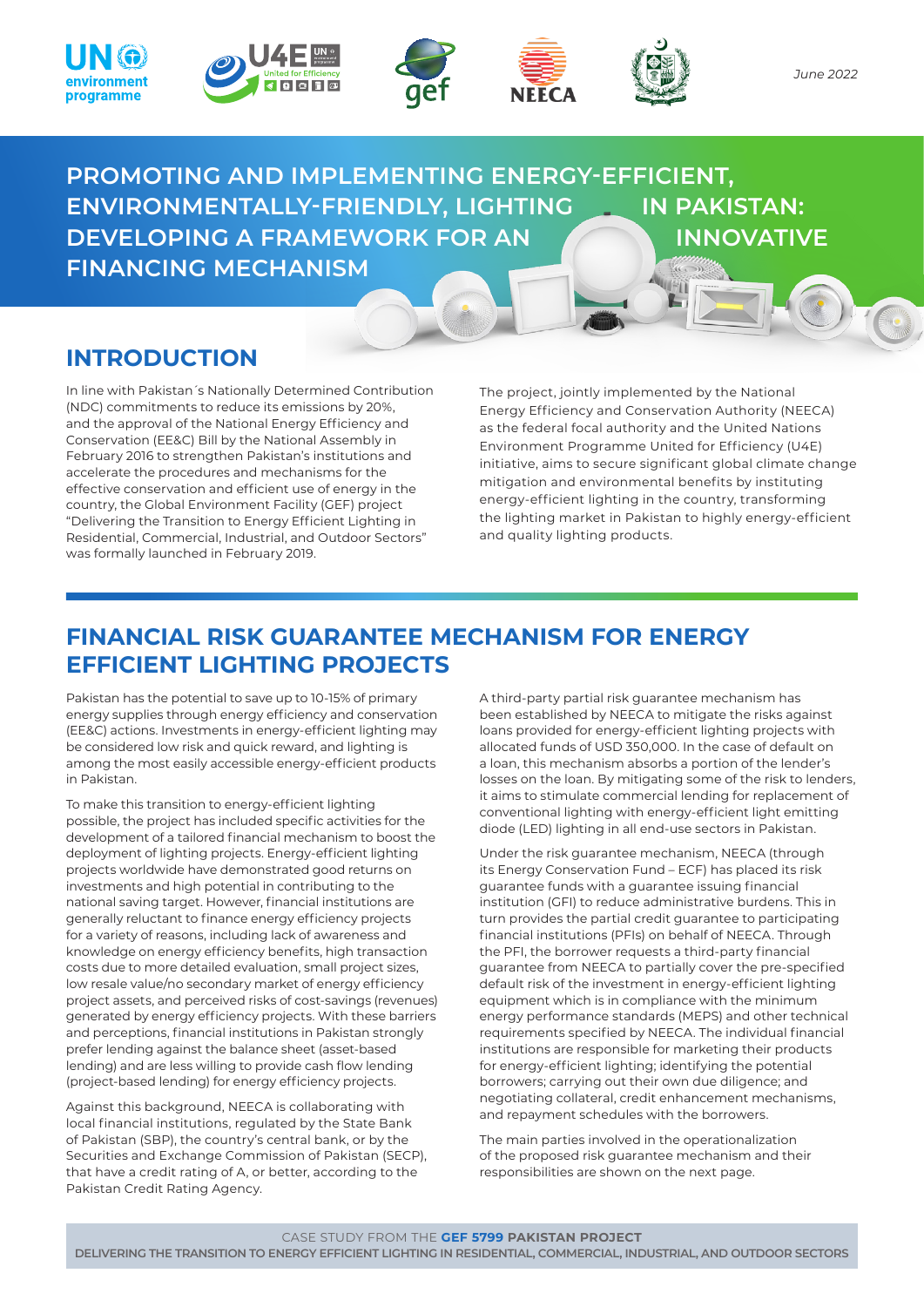









*June 2022*

**PROMOTING AND IMPLEMENTING ENERGY-EFFICIENT, ENVIRONMENTALLY-FRIENDLY, LIGHTING IN PAKISTAN: DEVELOPING A FRAMEWORK FOR AN INNOVATIVE FINANCING MECHANISM**

# **INTRODUCTION**

In line with Pakistan´s Nationally Determined Contribution (NDC) commitments to reduce its emissions by 20%, and the approval of the National Energy Efficiency and Conservation (EE&C) Bill by the National Assembly in February 2016 to strengthen Pakistan's institutions and accelerate the procedures and mechanisms for the effective conservation and efficient use of energy in the country, the Global Environment Facility (GEF) project "Delivering the Transition to Energy Efficient Lighting in Residential, Commercial, Industrial, and Outdoor Sectors" was formally launched in February 2019.

The project, jointly implemented by the National Energy Efficiency and Conservation Authority (NEECA) as the federal focal authority and the United Nations Environment Programme United for Efficiency (U4E) initiative, aims to secure significant global climate change mitigation and environmental benefits by instituting energy-efficient lighting in the country, transforming the lighting market in Pakistan to highly energy-efficient and quality lighting products.

# **FINANCIAL RISK GUARANTEE MECHANISM FOR ENERGY EFFICIENT LIGHTING PROJECTS**

Pakistan has the potential to save up to 10-15% of primary energy supplies through energy efficiency and conservation (EE&C) actions. Investments in energy-efficient lighting may be considered low risk and quick reward, and lighting is among the most easily accessible energy-efficient products in Pakistan.

To make this transition to energy-efficient lighting possible, the project has included specific activities for the development of a tailored financial mechanism to boost the deployment of lighting projects. Energy-efficient lighting projects worldwide have demonstrated good returns on investments and high potential in contributing to the national saving target. However, financial institutions are generally reluctant to finance energy efficiency projects for a variety of reasons, including lack of awareness and knowledge on energy efficiency benefits, high transaction costs due to more detailed evaluation, small project sizes, low resale value/no secondary market of energy efficiency project assets, and perceived risks of cost-savings (revenues) generated by energy efficiency projects. With these barriers and perceptions, financial institutions in Pakistan strongly prefer lending against the balance sheet (asset-based lending) and are less willing to provide cash flow lending (project-based lending) for energy efficiency projects.

Against this background, NEECA is collaborating with local financial institutions, regulated by the State Bank of Pakistan (SBP), the country's central bank, or by the Securities and Exchange Commission of Pakistan (SECP), that have a credit rating of A, or better, according to the Pakistan Credit Rating Agency.

A third-party partial risk guarantee mechanism has been established by NEECA to mitigate the risks against loans provided for energy-efficient lighting projects with allocated funds of USD 350,000. In the case of default on a loan, this mechanism absorbs a portion of the lender's losses on the loan. By mitigating some of the risk to lenders, it aims to stimulate commercial lending for replacement of conventional lighting with energy-efficient light emitting diode (LED) lighting in all end-use sectors in Pakistan.

Under the risk guarantee mechanism, NEECA (through its Energy Conservation Fund – ECF) has placed its risk guarantee funds with a guarantee issuing financial institution (GFI) to reduce administrative burdens. This in turn provides the partial credit guarantee to participating financial institutions (PFIs) on behalf of NEECA. Through the PFI, the borrower requests a third-party financial guarantee from NEECA to partially cover the pre-specified default risk of the investment in energy-efficient lighting equipment which is in compliance with the minimum energy performance standards (MEPS) and other technical requirements specified by NEECA. The individual financial institutions are responsible for marketing their products for energy-efficient lighting; identifying the potential borrowers; carrying out their own due diligence; and negotiating collateral, credit enhancement mechanisms, and repayment schedules with the borrowers.

The main parties involved in the operationalization of the proposed risk guarantee mechanism and their responsibilities are shown on the next page.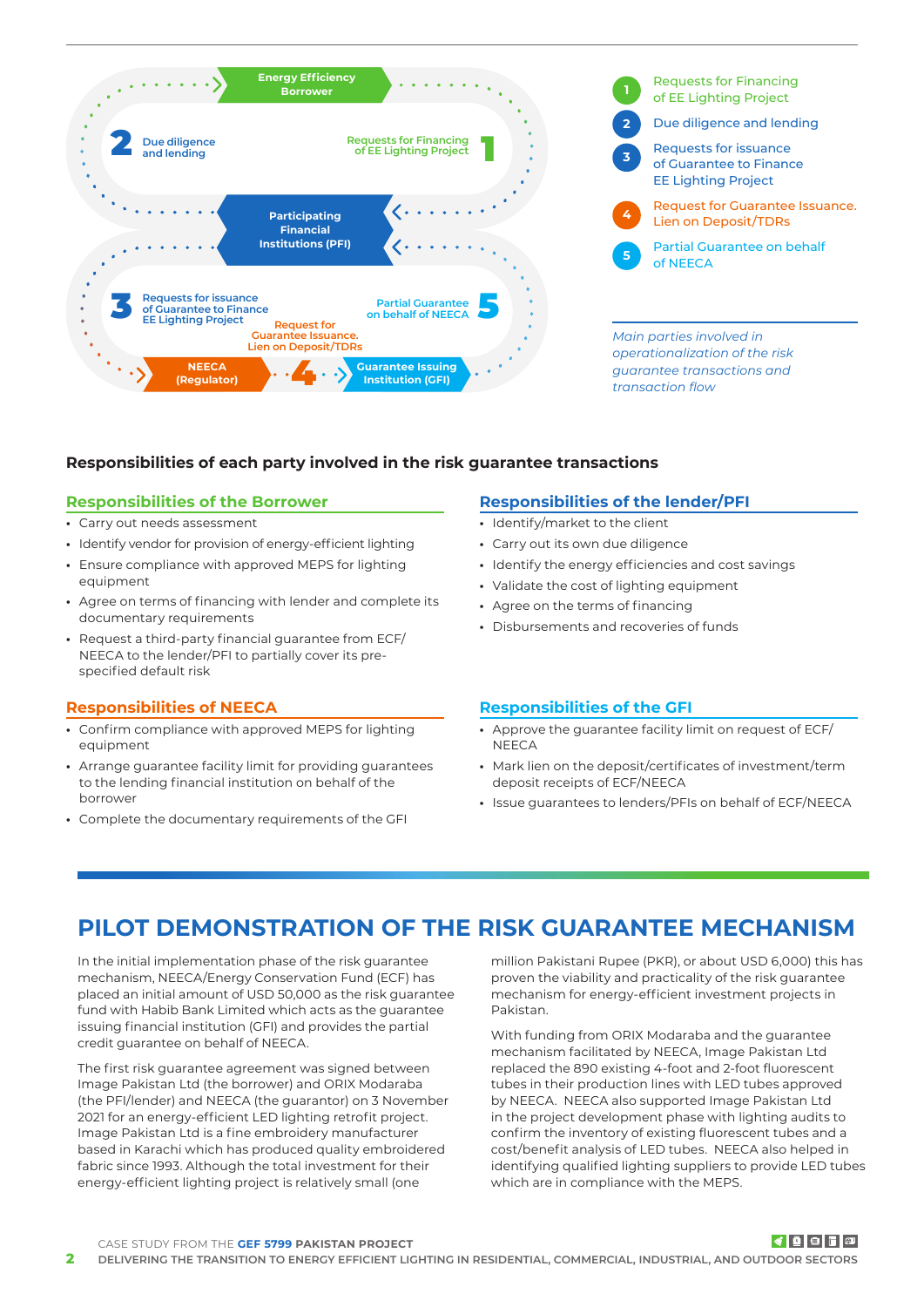

# **Responsibilities of each party involved in the risk guarantee transactions**

## **Responsibilities of the Borrower**

- **•** Carry out needs assessment
- **•** Identify vendor for provision of energy-efficient lighting
- **•** Ensure compliance with approved MEPS for lighting equipment
- **•** Agree on terms of financing with lender and complete its documentary requirements
- **•** Request a third-party financial guarantee from ECF/ NEECA to the lender/PFI to partially cover its prespecified default risk

## **Responsibilities of NEECA**

- **•** Confirm compliance with approved MEPS for lighting equipment
- **•** Arrange guarantee facility limit for providing guarantees to the lending financial institution on behalf of the borrower
- **•** Complete the documentary requirements of the GFI

# **Responsibilities of the lender/PFI**

- **•** Identify/market to the client
- **•** Carry out its own due diligence
- **•** Identify the energy efficiencies and cost savings
- **•** Validate the cost of lighting equipment
- **•** Agree on the terms of financing
- **•** Disbursements and recoveries of funds

## **Responsibilities of the GFI**

- **•** Approve the guarantee facility limit on request of ECF/ **NEECA**
- **•** Mark lien on the deposit/certificates of investment/term deposit receipts of ECF/NEECA
- **•** Issue guarantees to lenders/PFIs on behalf of ECF/NEECA

# **PILOT DEMONSTRATION OF THE RISK GUARANTEE MECHANISM**

In the initial implementation phase of the risk guarantee mechanism, NEECA/Energy Conservation Fund (ECF) has placed an initial amount of USD 50,000 as the risk guarantee fund with Habib Bank Limited which acts as the guarantee issuing financial institution (GFI) and provides the partial credit guarantee on behalf of NEECA.

The first risk guarantee agreement was signed between Image Pakistan Ltd (the borrower) and ORIX Modaraba (the PFI/lender) and NEECA (the guarantor) on 3 November 2021 for an energy-efficient LED lighting retrofit project. Image Pakistan Ltd is a fine embroidery manufacturer based in Karachi which has produced quality embroidered fabric since 1993. Although the total investment for their energy-efficient lighting project is relatively small (one

million Pakistani Rupee (PKR), or about USD 6,000) this has proven the viability and practicality of the risk guarantee mechanism for energy-efficient investment projects in Pakistan.

With funding from ORIX Modaraba and the guarantee mechanism facilitated by NEECA, Image Pakistan Ltd replaced the 890 existing 4-foot and 2-foot fluorescent tubes in their production lines with LED tubes approved by NEECA. NEECA also supported Image Pakistan Ltd in the project development phase with lighting audits to confirm the inventory of existing fluorescent tubes and a cost/benefit analysis of LED tubes. NEECA also helped in identifying qualified lighting suppliers to provide LED tubes which are in compliance with the MEPS.

#### CASE STUDY FROM THE **GEF 5799 PAKISTAN PROJECT**

# ▎⋠▏▓▏▆▏▛▏▏▓▏

**2 DELIVERING THE TRANSITION TO ENERGY EFFICIENT LIGHTING IN RESIDENTIAL, COMMERCIAL, INDUSTRIAL, AND OUTDOOR SECTORS**